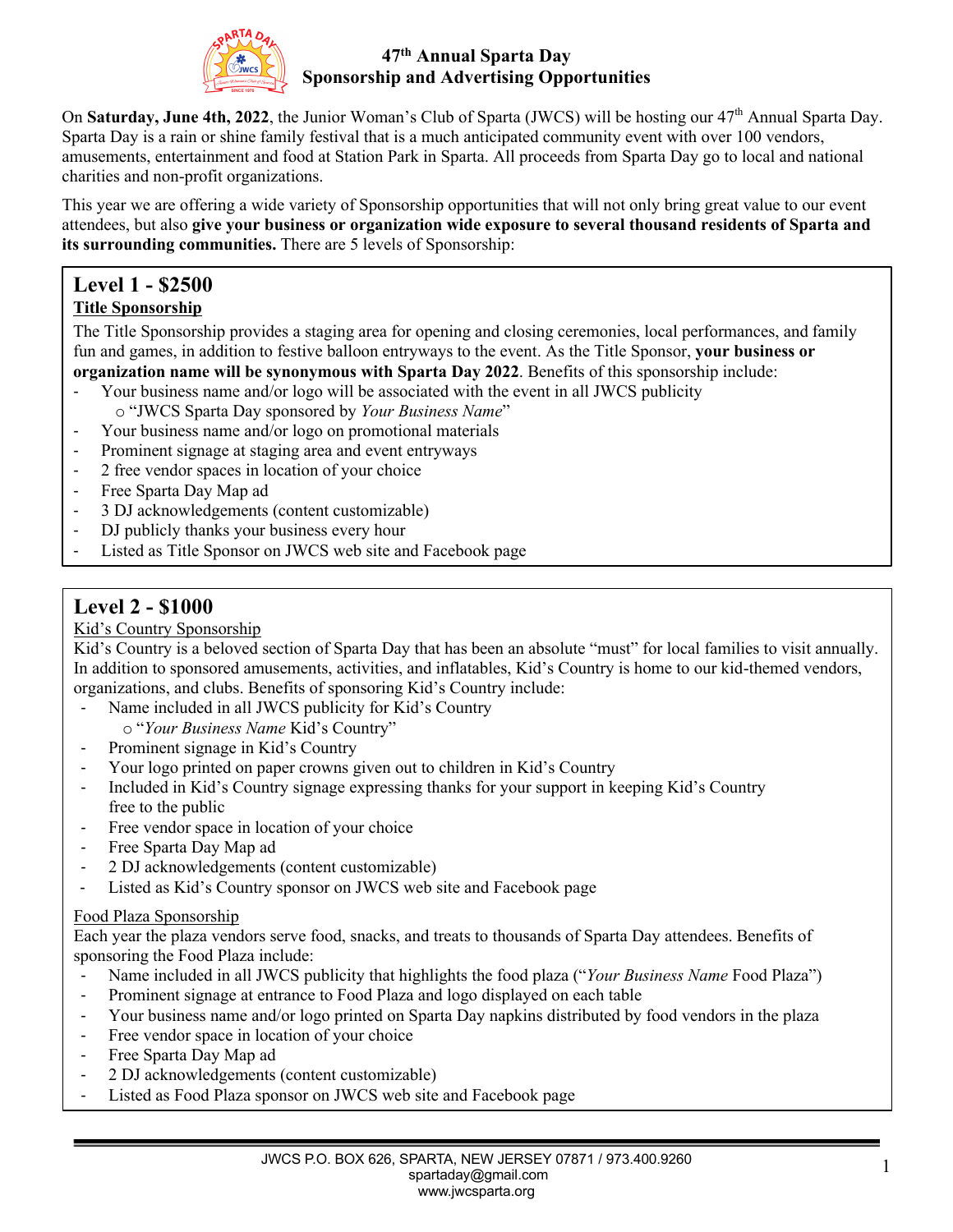

### **47th Annual Sparta Day Sponsorship and Advertising Opportunities**

On **Saturday, June 4th, 2022**, the Junior Woman's Club of Sparta (JWCS) will be hosting our 47<sup>th</sup> Annual Sparta Day. Sparta Day is a rain or shine family festival that is a much anticipated community event with over 100 vendors, amusements, entertainment and food at Station Park in Sparta. All proceeds from Sparta Day go to local and national charities and non-profit organizations.

This year we are offering a wide variety of Sponsorship opportunities that will not only bring great value to our event attendees, but also **give your business or organization wide exposure to several thousand residents of Sparta and its surrounding communities.** There are 5 levels of Sponsorship:

# **Level 1 - \$2500**

### **Title Sponsorship**

The Title Sponsorship provides a staging area for opening and closing ceremonies, local performances, and family fun and games, in addition to festive balloon entryways to the event. As the Title Sponsor, **your business or organization name will be synonymous with Sparta Day 2022**. Benefits of this sponsorship include:

- Your business name and/or logo will be associated with the event in all JWCS publicity o "JWCS Sparta Day sponsored by *Your Business Name*"
- Your business name and/or logo on promotional materials
- Prominent signage at staging area and event entryways
- 2 free vendor spaces in location of your choice
- Free Sparta Day Map ad
- 3 DJ acknowledgements (content customizable)
- DJ publicly thanks your business every hour
- Listed as Title Sponsor on JWCS web site and Facebook page

# **Level 2 - \$1000**

#### Kid's Country Sponsorship

Kid's Country is a beloved section of Sparta Day that has been an absolute "must" for local families to visit annually. In addition to sponsored amusements, activities, and inflatables, Kid's Country is home to our kid-themed vendors, organizations, and clubs. Benefits of sponsoring Kid's Country include:

- Name included in all JWCS publicity for Kid's Country
	- o "*Your Business Name* Kid's Country"
- Prominent signage in Kid's Country
- Your logo printed on paper crowns given out to children in Kid's Country
- Included in Kid's Country signage expressing thanks for your support in keeping Kid's Country free to the public
- Free vendor space in location of your choice
- Free Sparta Day Map ad
- 2 DJ acknowledgements (content customizable)
- Listed as Kid's Country sponsor on JWCS web site and Facebook page

#### Food Plaza Sponsorship

Each year the plaza vendors serve food, snacks, and treats to thousands of Sparta Day attendees. Benefits of sponsoring the Food Plaza include:

- Name included in all JWCS publicity that highlights the food plaza ("*Your Business Name* Food Plaza")
- Prominent signage at entrance to Food Plaza and logo displayed on each table
- Your business name and/or logo printed on Sparta Day napkins distributed by food vendors in the plaza
- Free vendor space in location of your choice
- Free Sparta Day Map ad
- 2 DJ acknowledgements (content customizable)
- Listed as Food Plaza sponsor on JWCS web site and Facebook page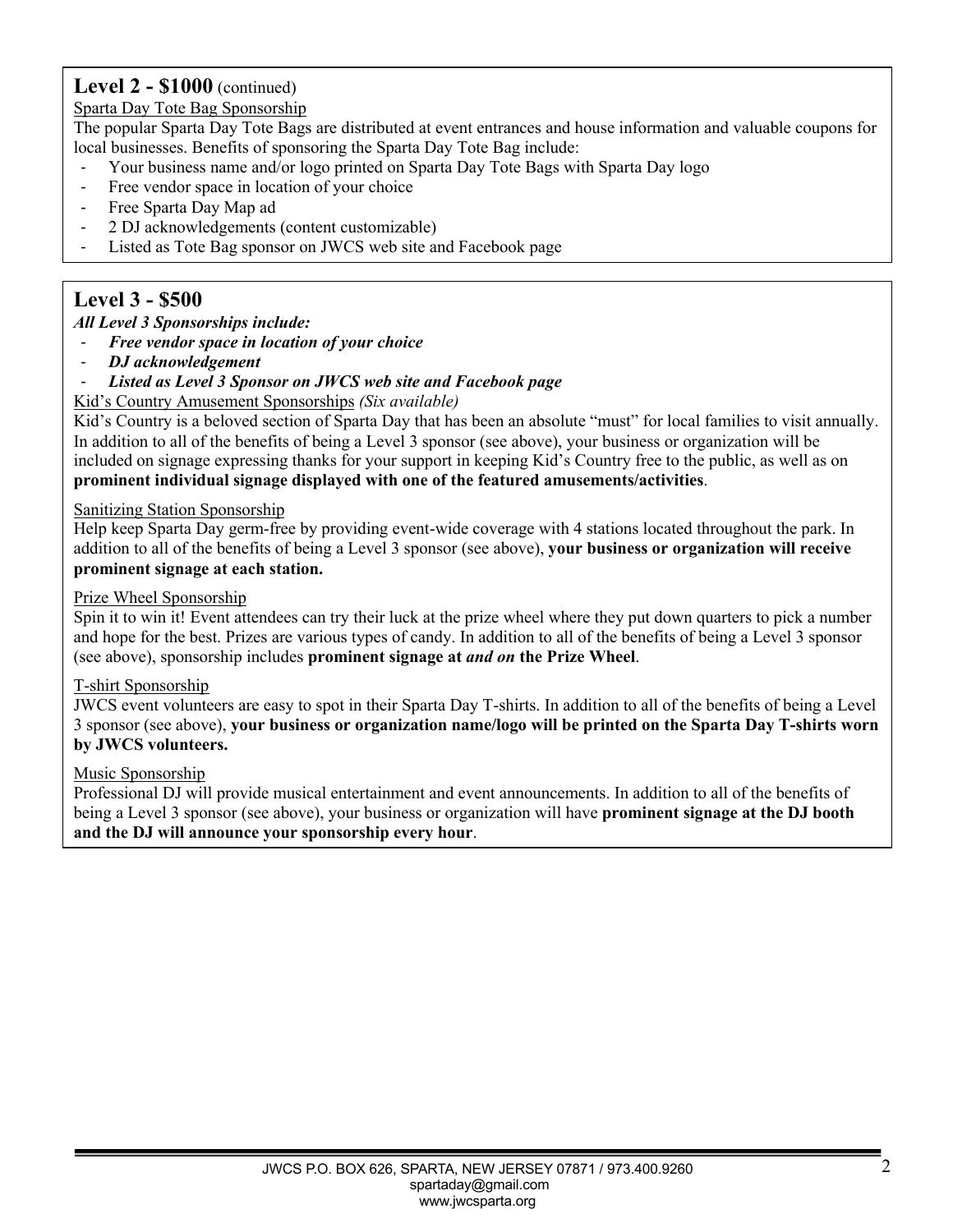# **Level 2 - \$1000** (continued)

#### Sparta Day Tote Bag Sponsorship

The popular Sparta Day Tote Bags are distributed at event entrances and house information and valuable coupons for local businesses. Benefits of sponsoring the Sparta Day Tote Bag include:

- Your business name and/or logo printed on Sparta Day Tote Bags with Sparta Day logo
- Free vendor space in location of your choice
- Free Sparta Day Map ad
- 2 DJ acknowledgements (content customizable)
- Listed as Tote Bag sponsor on JWCS web site and Facebook page

# **Level 3 - \$500**

#### *All Level 3 Sponsorships include:*

- *Free vendor space in location of your choice*
- *DJ acknowledgement*

### Listed as Level 3 Sponsor on JWCS web site and Facebook page

Kid's Country Amusement Sponsorships *(Six available)*

Kid's Country is a beloved section of Sparta Day that has been an absolute "must" for local families to visit annually. In addition to all of the benefits of being a Level 3 sponsor (see above), your business or organization will be included on signage expressing thanks for your support in keeping Kid's Country free to the public, as well as on **prominent individual signage displayed with one of the featured amusements/activities**.

#### Sanitizing Station Sponsorship

Help keep Sparta Day germ-free by providing event-wide coverage with 4 stations located throughout the park. In addition to all of the benefits of being a Level 3 sponsor (see above), **your business or organization will receive prominent signage at each station.**

#### Prize Wheel Sponsorship

Spin it to win it! Event attendees can try their luck at the prize wheel where they put down quarters to pick a number and hope for the best. Prizes are various types of candy. In addition to all of the benefits of being a Level 3 sponsor (see above), sponsorship includes **prominent signage at** *and on* **the Prize Wheel**.

#### T-shirt Sponsorship

JWCS event volunteers are easy to spot in their Sparta Day T-shirts. In addition to all of the benefits of being a Level 3 sponsor (see above), **your business or organization name/logo will be printed on the Sparta Day T-shirts worn by JWCS volunteers.**

#### Music Sponsorship

Professional DJ will provide musical entertainment and event announcements. In addition to all of the benefits of being a Level 3 sponsor (see above), your business or organization will have **prominent signage at the DJ booth and the DJ will announce your sponsorship every hour**.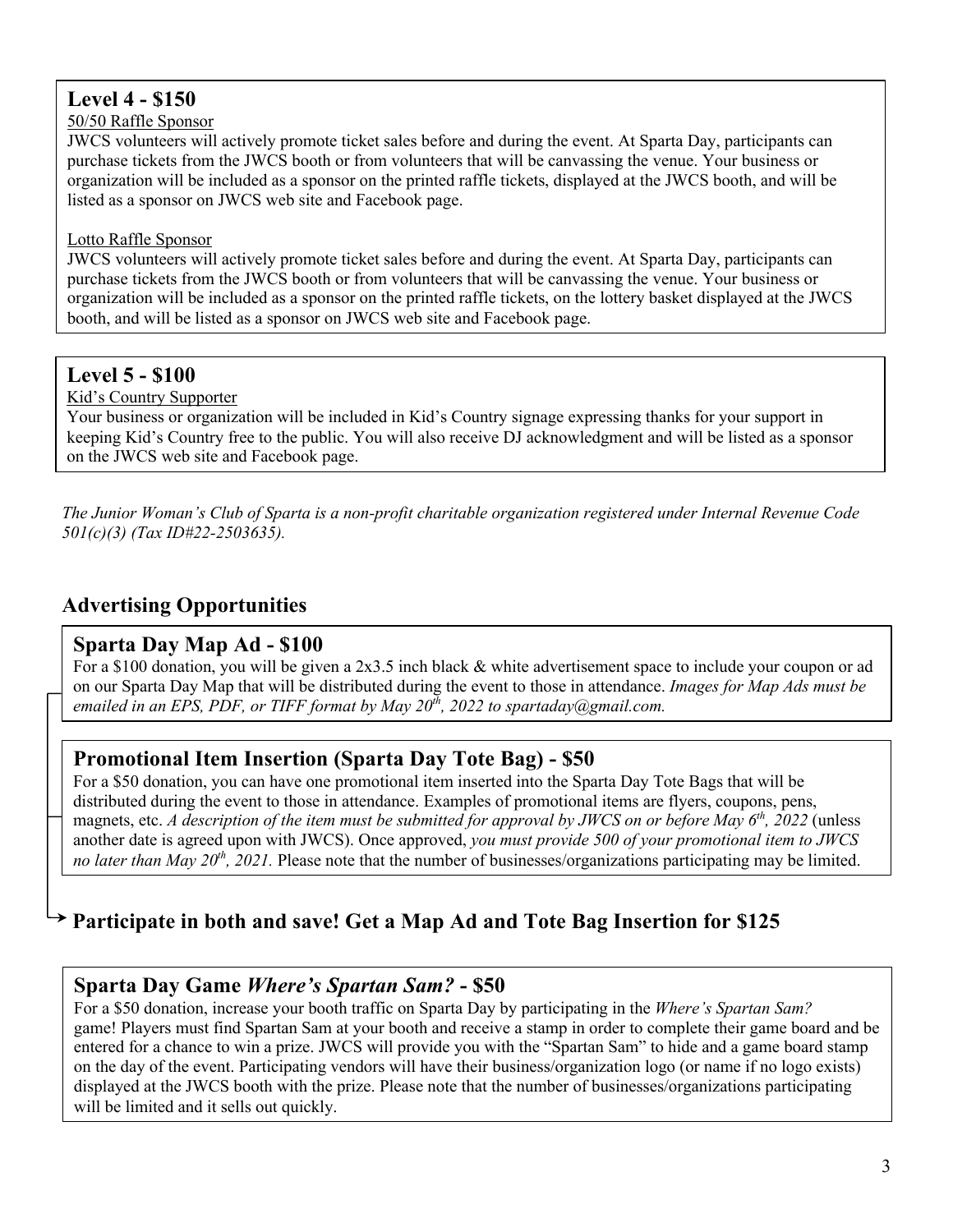# **Level 4 - \$150**

#### 50/50 Raffle Sponsor

JWCS volunteers will actively promote ticket sales before and during the event. At Sparta Day, participants can purchase tickets from the JWCS booth or from volunteers that will be canvassing the venue. Your business or organization will be included as a sponsor on the printed raffle tickets, displayed at the JWCS booth, and will be listed as a sponsor on JWCS web site and Facebook page.

#### Lotto Raffle Sponsor

JWCS volunteers will actively promote ticket sales before and during the event. At Sparta Day, participants can purchase tickets from the JWCS booth or from volunteers that will be canvassing the venue. Your business or organization will be included as a sponsor on the printed raffle tickets, on the lottery basket displayed at the JWCS booth, and will be listed as a sponsor on JWCS web site and Facebook page.

# **Level 5 - \$100**

Kid's Country Supporter

Your business or organization will be included in Kid's Country signage expressing thanks for your support in keeping Kid's Country free to the public. You will also receive DJ acknowledgment and will be listed as a sponsor on the JWCS web site and Facebook page.

*The Junior Woman's Club of Sparta is a non-profit charitable organization registered under Internal Revenue Code 501(c)(3) (Tax ID#22-2503635).* 

# **Advertising Opportunities**

### **Sparta Day Map Ad - \$100**

For a \$100 donation, you will be given a 2x3.5 inch black & white advertisement space to include your coupon or ad on our Sparta Day Map that will be distributed during the event to those in attendance. *Images for Map Ads must be emailed in an EPS, PDF, or TIFF format by May 20th, 2022 to spartaday@gmail.com.*

### **Promotional Item Insertion (Sparta Day Tote Bag) - \$50**

For a \$50 donation, you can have one promotional item inserted into the Sparta Day Tote Bags that will be distributed during the event to those in attendance. Examples of promotional items are flyers, coupons, pens, magnets, etc. *A description of the item must be submitted for approval by JWCS on or before May 6th , 2022* (unless another date is agreed upon with JWCS). Once approved, *you must provide 500 of your promotional item to JWCS no later than May 20th, 2021.* Please note that the number of businesses/organizations participating may be limited.

# **Participate in both and save! Get a Map Ad and Tote Bag Insertion for \$125**

### **Sparta Day Game** *Where's Spartan Sam?* **- \$50**

For a \$50 donation, increase your booth traffic on Sparta Day by participating in the *Where's Spartan Sam?* game! Players must find Spartan Sam at your booth and receive a stamp in order to complete their game board and be entered for a chance to win a prize. JWCS will provide you with the "Spartan Sam" to hide and a game board stamp on the day of the event. Participating vendors will have their business/organization logo (or name if no logo exists) displayed at the JWCS booth with the prize. Please note that the number of businesses/organizations participating will be limited and it sells out quickly.